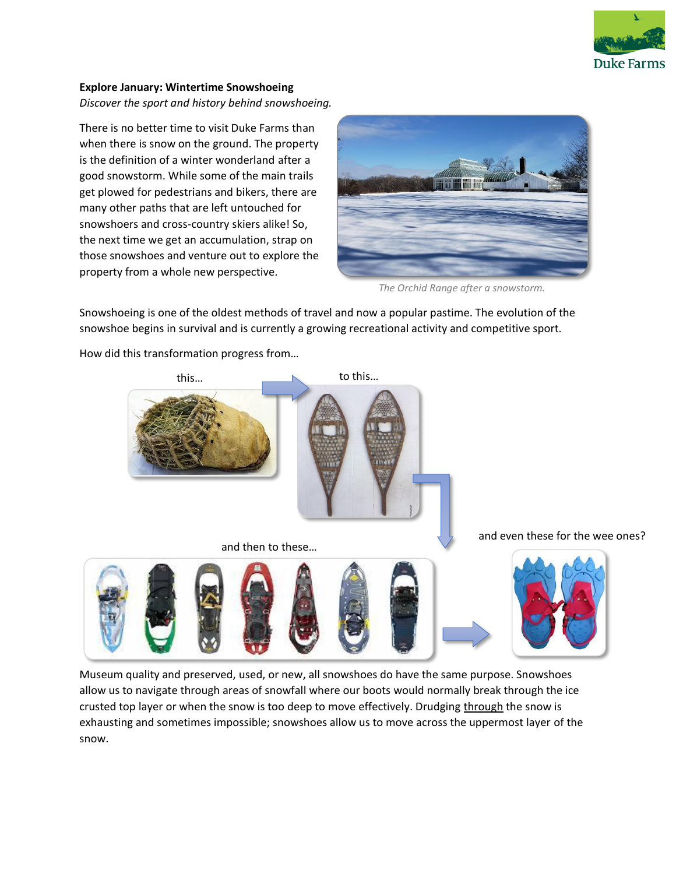

## **Explore January: Wintertime Snowshoeing** *Discover the sport and history behind snowshoeing.*

There is no better time to visit Duke Farms than when there is snow on the ground. The property is the definition of a winter wonderland after a good snowstorm. While some of the main trails get plowed for pedestrians and bikers, there are many other paths that are left untouched for snowshoers and cross-country skiers alike! So, the next time we get an accumulation, strap on those snowshoes and venture out to explore the property from a whole new perspective.



*The Orchid Range after a snowstorm.*

Snowshoeing is one of the oldest methods of travel and now a popular pastime. The evolution of the snowshoe begins in survival and is currently a growing recreational activity and competitive sport.



How did this transformation progress from…

Museum quality and preserved, used, or new, all snowshoes do have the same purpose. Snowshoes allow us to navigate through areas of snowfall where our boots would normally break through the ice crusted top layer or when the snow is too deep to move effectively. Drudging through the snow is exhausting and sometimes impossible; snowshoes allow us to move across the uppermost layer of the snow.

and even these for the wee ones?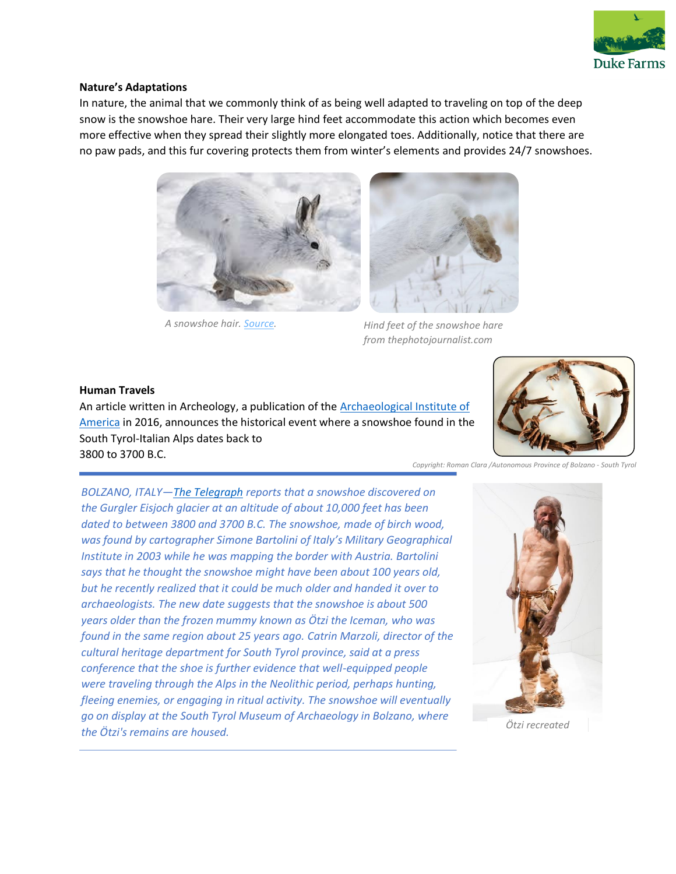

#### **Nature's Adaptations**

In nature, the animal that we commonly think of as being well adapted to traveling on top of the deep snow is the snowshoe hare. Their very large hind feet accommodate this action which becomes even more effective when they spread their slightly more elongated toes. Additionally, notice that there are no paw pads, and this fur covering protects them from winter's elements and provides 24/7 snowshoes.



*A snowshoe hair. [Source.](https://www.nwf.org/Educational-Resources/Wildlife-Guide/Mammals/Snowshoe-Hare)* 

*Hind feet of the snowshoe hare from thephotojournalist.com*

#### **Human Travels**

An article written in Archeology, a publication of the **Archaeological Institute of** [America](https://www.archaeological.org/) in 2016, announces the historical event where a snowshoe found in the South Tyrol-Italian Alps dates back to 3800 to 3700 B.C.



*Copyright: Roman Clara /Autonomous Province of Bolzano - South Tyrol*

*BOLZANO, ITALY—[The Telegraph](http://www.telegraph.co.uk/news/2016/09/12/worlds-oldest-snowshoe-found-on-a-glacier-in-italys-dolomites/) reports that a snowshoe discovered on the Gurgler Eisjoch glacier at an altitude of about 10,000 feet has been dated to between 3800 and 3700 B.C. The snowshoe, made of birch wood, was found by cartographer Simone Bartolini of Italy's Military Geographical Institute in 2003 while he was mapping the border with Austria. Bartolini says that he thought the snowshoe might have been about 100 years old, but he recently realized that it could be much older and handed it over to archaeologists. The new date suggests that the snowshoe is about 500 years older than the frozen mummy known as Ötzi the Iceman, who was found in the same region about 25 years ago. Catrin Marzoli, director of the cultural heritage department for South Tyrol province, said at a press conference that the shoe is further evidence that well-equipped people were traveling through the Alps in the Neolithic period, perhaps hunting, fleeing enemies, or engaging in ritual activity. The snowshoe will eventually go on display at the South Tyrol Museum of Archaeology in Bolzano, where the Ötzi's remains are housed. Ötzi recreated*

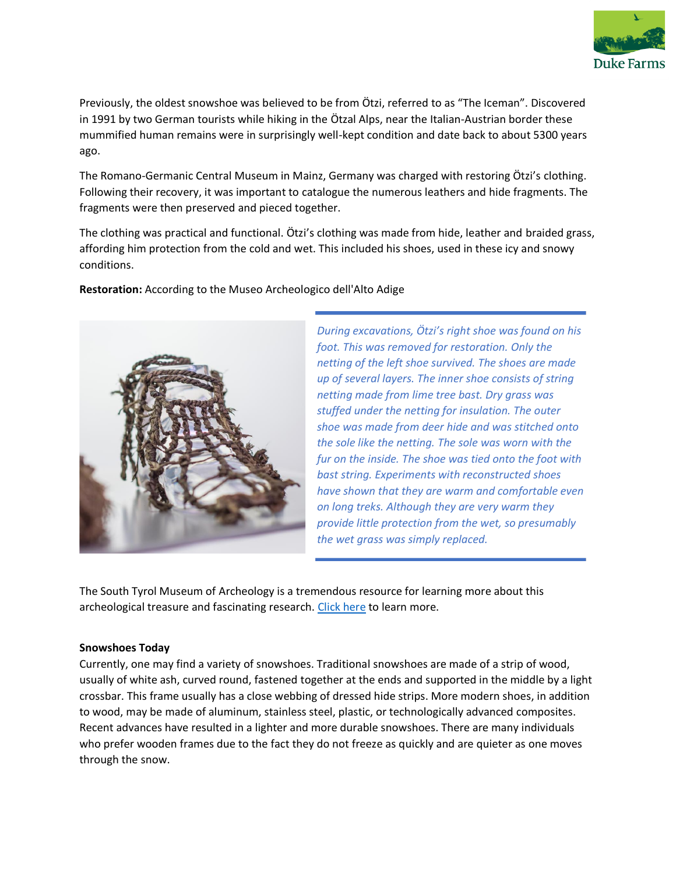

Previously, the oldest snowshoe was believed to be from Ötzi, referred to as "The Iceman". Discovered in 1991 by two German tourists while hiking in the Ötzal Alps, near the Italian-Austrian border these mummified human remains were in surprisingly well-kept condition and date back to about 5300 years ago.

The Romano-Germanic Central Museum in Mainz, Germany was charged with restoring Ötzi's clothing. Following their recovery, it was important to catalogue the numerous leathers and hide fragments. The fragments were then preserved and pieced together.

The clothing was practical and functional. Ötzi's clothing was made from hide, leather and braided grass, affording him protection from the cold and wet. This included his shoes, used in these icy and snowy conditions.

**Restoration:** According to the Museo Archeologico dell'Alto Adige



*During excavations, Ötzi's right shoe was found on his foot. This was removed for restoration. Only the netting of the left shoe survived. The shoes are made up of several layers. The inner shoe consists of string netting made from lime tree bast. Dry grass was stuffed under the netting for insulation. The outer shoe was made from deer hide and was stitched onto the sole like the netting. The sole was worn with the fur on the inside. The shoe was tied onto the foot with bast string. Experiments with reconstructed shoes have shown that they are warm and comfortable even on long treks. Although they are very warm they provide little protection from the wet, so presumably the wet grass was simply replaced.*

The South Tyrol Museum of Archeology is a tremendous resource for learning more about this archeological treasure and fascinating research. [Click here](https://www.iceman.it/en/) to learn more.

## **Snowshoes Today**

Currently, one may find a variety of snowshoes. Traditional snowshoes are made of a strip of wood, usually of white ash, curved round, fastened together at the ends and supported in the middle by a light crossbar. This frame usually has a close webbing of dressed hide strips. More modern shoes, in addition to wood, may be made of aluminum, stainless steel, plastic, or technologically advanced composites. Recent advances have resulted in a lighter and more durable snowshoes. There are many individuals who prefer wooden frames due to the fact they do not freeze as quickly and are quieter as one moves through the snow.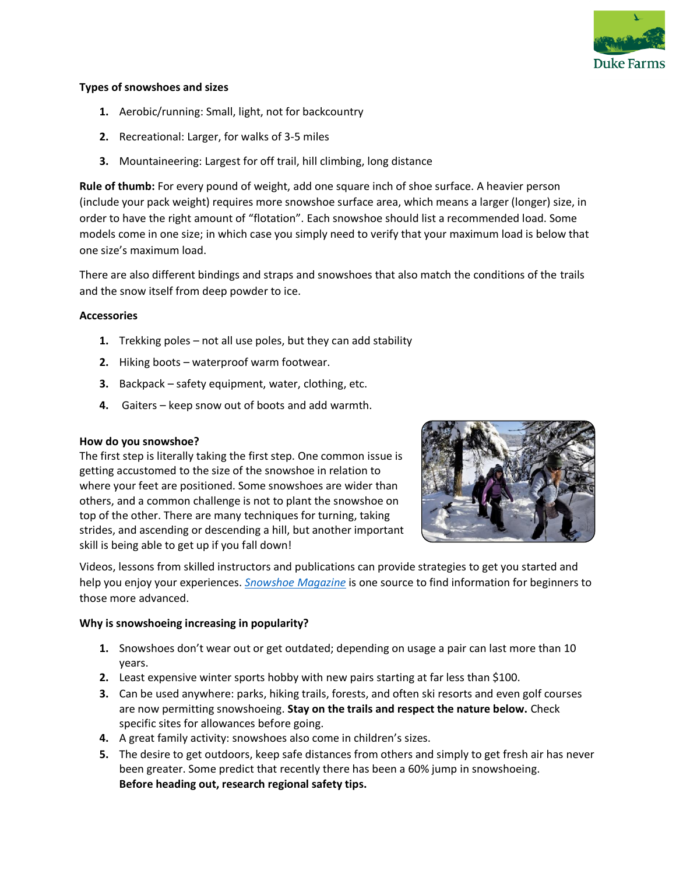

### **Types of snowshoes and sizes**

- **1.** Aerobic/running: Small, light, not for backcountry
- **2.** Recreational: Larger, for walks of 3-5 miles
- **3.** Mountaineering: Largest for off trail, hill climbing, long distance

**Rule of thumb:** For every pound of weight, add one square inch of shoe surface. A heavier person (include your pack weight) requires more snowshoe surface area, which means a larger (longer) size, in order to have the right amount of "flotation". Each snowshoe should list a recommended load. Some models come in one size; in which case you simply need to verify that your maximum load is below that one size's maximum load.

There are also different bindings and straps and snowshoes that also match the conditions of the trails and the snow itself from deep powder to ice.

## **Accessories**

- **1.** Trekking poles not all use poles, but they can add stability
- **2.** Hiking boots waterproof warm footwear.
- **3.** Backpack safety equipment, water, clothing, etc.
- **4.** Gaiters keep snow out of boots and add warmth.

#### **How do you snowshoe?**

The first step is literally taking the first step. One common issue is getting accustomed to the size of the snowshoe in relation to where your feet are positioned. Some snowshoes are wider than others, and a common challenge is not to plant the snowshoe on top of the other. There are many techniques for turning, taking strides, and ascending or descending a hill, but another important skill is being able to get up if you fall down!



Videos, lessons from skilled instructors and publications can provide strategies to get you started and help you enjoy your experiences. *[Snowshoe Magazine](https://www.snowshoemag.com/wp-content/uploads/snowshoeing101.pdf)* is one source to find information for beginners to those more advanced.

## **Why is snowshoeing increasing in popularity?**

- **1.** Snowshoes don't wear out or get outdated; depending on usage a pair can last more than 10 years.
- **2.** Least expensive winter sports hobby with new pairs starting at far less than \$100.
- **3.** Can be used anywhere: parks, hiking trails, forests, and often ski resorts and even golf courses are now permitting snowshoeing. **Stay on the trails and respect the nature below.** Check specific sites for allowances before going.
- **4.** A great family activity: snowshoes also come in children's sizes.
- **5.** The desire to get outdoors, keep safe distances from others and simply to get fresh air has never been greater. Some predict that recently there has been a 60% jump in snowshoeing. **Before heading out, research regional safety tips.**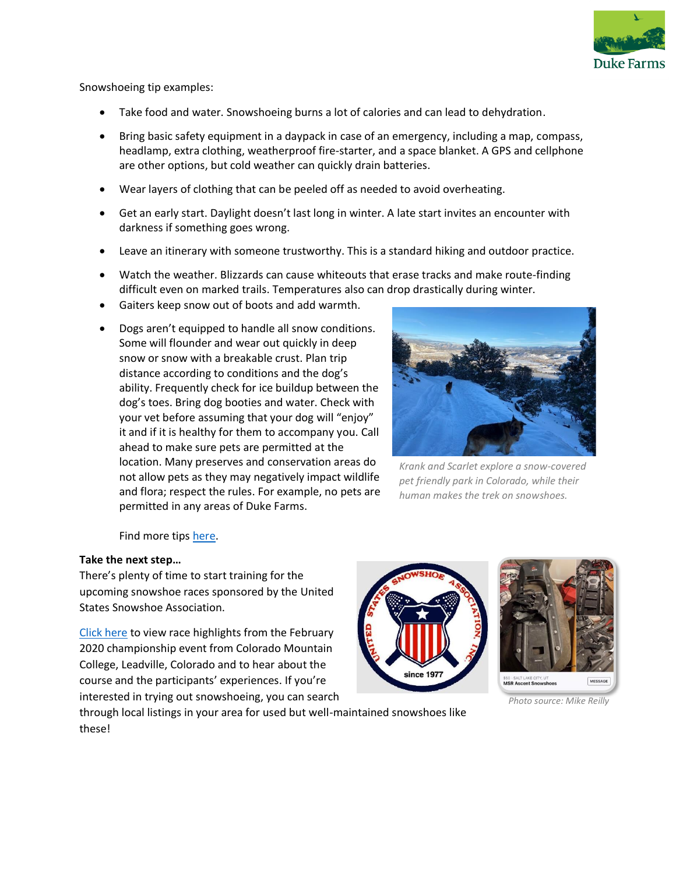

Snowshoeing tip examples:

- Take food and water. Snowshoeing burns a lot of calories and can lead to dehydration.
- Bring basic safety equipment in a daypack in case of an emergency, including a map, compass, headlamp, extra clothing, weatherproof fire-starter, and a space blanket. A GPS and cellphone are other options, but cold weather can quickly drain batteries.
- Wear layers of clothing that can be peeled off as needed to avoid overheating.
- Get an early start. Daylight doesn't last long in winter. A late start invites an encounter with darkness if something goes wrong.
- Leave an itinerary with someone trustworthy. This is a standard hiking and outdoor practice.
- Watch the weather. Blizzards can cause whiteouts that erase tracks and make route-finding difficult even on marked trails. Temperatures also can drop drastically during winter.
- Gaiters keep snow out of boots and add warmth.
- Dogs aren't equipped to handle all snow conditions. Some will flounder and wear out quickly in deep snow or snow with a breakable crust. Plan trip distance according to conditions and the dog's ability. Frequently check for ice buildup between the dog's toes. Bring dog booties and water. Check with your vet before assuming that your dog will "enjoy" it and if it is healthy for them to accompany you. Call ahead to make sure pets are permitted at the location. Many preserves and conservation areas do not allow pets as they may negatively impact wildlife and flora; respect the rules. For example, no pets are permitted in any areas of Duke Farms.



*Krank and Scarlet explore a snow-covered pet friendly park in Colorado, while their human makes the trek on snowshoes.* 

Find more tips [here.](https://www.seattletimes.com/life/outdoors/snowshoeing-gains-in-popularity-and-access-across-the-region/)

## **Take the next step…**

There's plenty of time to start training for the upcoming snowshoe races sponsored by the United States Snowshoe Association.

[Click here](https://www.2020ussnowshoechampionships.com/) to view race highlights from the February 2020 championship event from Colorado Mountain College, Leadville, Colorado and to hear about the course and the participants' experiences. If you're interested in trying out snowshoeing, you can search





*Photo source: Mike Reilly*

through local listings in your area for used but well-maintained snowshoes like these!